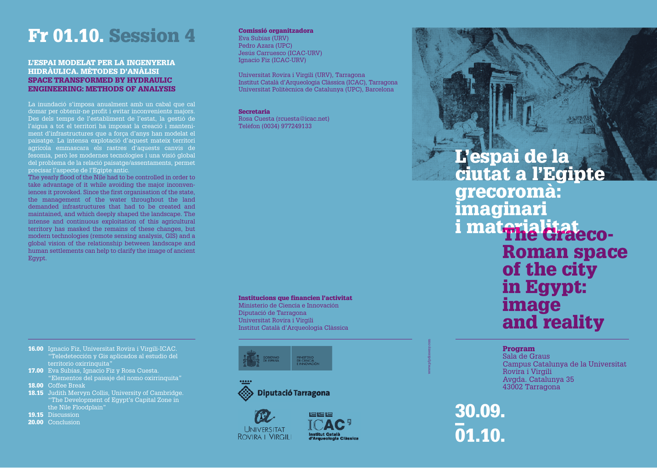# Fr 01.10. Session 4

### L'ESPAI MODELAT PER LA INGENYERIA HIDRÀULICA. MÈTODES D'ANÀLISI SPACE TRANSFORMED BY HYDRAULIC ENGINEERING: METHODS OF ANALYSIS

La inundació s'imposa anualment amb un cabal que cal domar per obtenir-ne profit i evitar inconvenients majors. Des dels temps de l'establiment de l'estat, la gestió de l'aigua a tot el territori ha imposat la creació i manteniment d'infrastructures que a força d'anys han modelat el paisatge. La intensa explotació d'aquest mateix territori agrícola emmascara els rastres d'aquests canvis de fesomia, però les modernes tecnologies i una visió global del problema de la relació paisatge/assentaments, permet precisar l'aspecte de l'Egipte antic.

The yearly flood of the Nile had to be controlled in order to take advantage of it while avoiding the major inconveniences it provoked. Since the first organisation of the state, the management of the water throughout the land demanded infrastructures that had to be created and maintained, and which deeply shaped the landscape. The intense and continuous exploitation of this agricultural territory has masked the remains of these changes, but modern technologies (remote sensing analysis, GIS) and a global vision of the relationship between landscape and human settlements can help to clarify the image of ancient Egypt.

## Comissió organitzadora

Eva Subías (URV) Pedro Azara (UPC) Jesús Carruesco (ICAC-URV) Ignacio Fiz (ICAC-URV)

Universitat Rovira i Virgili (URV), Tarragona Institut Català d'Arqueologia Clàssica (ICAC), Tarragona Universitat Politècnica de Catalunya (UPC), Barcelona

Secretaria Rosa Cuesta (rcuesta@icac.net) Telèfon (0034) 977249133

### Institucions que financien l'activitat

Ministerio de Ciencia e Innovación Diputació de Tarragona Universitat Rovira i Virgili Institut Català d'Arqueologia Clàssica





**UNIVERSITAT ROVIRA I VIRGILI** 



# L'espai de la ciutat a l'Egipte grecoromà: imaginari i materialitate co-<br>Roman space of the city in Egypt: image and reality

## Program

Sala de Graus Campus Catalunya de la Universitat Rovira i Virgili Avgda. Catalunya 35 43002 Tarragona

30.09.  $\frac{1}{2}$ 01.10.

www.pfpdisseny.com

- 16.00 Ignacio Fiz, Universitat Rovira i Virgili-ICAC. "Teledetección y Gis aplicados al estudio del territorio oxirrinquita'
- 17.00 Eva Subías, Ignacio Fiz y Rosa Cuesta. "Elementos del paisaje del nomo oxirrinquita"
- 18.00 Coffee Break
- 18.15 Judith Mervyn Collis, University of Cambridge. "The Development of Egypt's Capital Zone in the Nile Floodplain"
- 19.15 Discussion
- 20.00 Conclusion